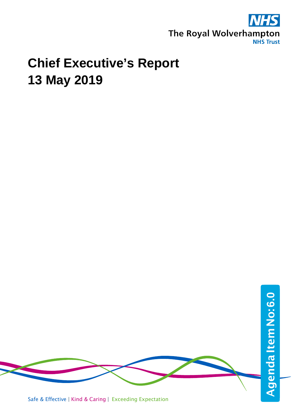

## **Chief Executive's Report 13 May 2019**



Safe & Effective | Kind & Caring | Exceeding Expectation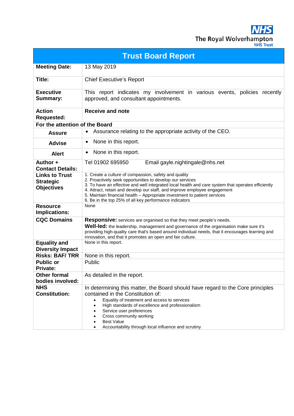**NHS** The Royal Wolverhampton

| NHS Trust |
|-----------|
|           |
|           |

| <b>Trust Board Report</b>                                      |                                                                                                                                                                                                                                                                                                                                                                                                                                              |  |
|----------------------------------------------------------------|----------------------------------------------------------------------------------------------------------------------------------------------------------------------------------------------------------------------------------------------------------------------------------------------------------------------------------------------------------------------------------------------------------------------------------------------|--|
| <b>Meeting Date:</b>                                           | 13 May 2019                                                                                                                                                                                                                                                                                                                                                                                                                                  |  |
| Title:                                                         | <b>Chief Executive's Report</b>                                                                                                                                                                                                                                                                                                                                                                                                              |  |
| <b>Executive</b><br><b>Summary:</b>                            | This report indicates my involvement in various events, policies recently<br>approved, and consultant appointments.                                                                                                                                                                                                                                                                                                                          |  |
| <b>Action</b><br><b>Requested:</b>                             | <b>Receive and note</b>                                                                                                                                                                                                                                                                                                                                                                                                                      |  |
| For the attention of the Board                                 |                                                                                                                                                                                                                                                                                                                                                                                                                                              |  |
| <b>Assure</b>                                                  | Assurance relating to the appropriate activity of the CEO.<br>$\bullet$                                                                                                                                                                                                                                                                                                                                                                      |  |
| <b>Advise</b>                                                  | None in this report.<br>$\bullet$                                                                                                                                                                                                                                                                                                                                                                                                            |  |
| <b>Alert</b>                                                   | None in this report.<br>$\bullet$                                                                                                                                                                                                                                                                                                                                                                                                            |  |
| Author +<br><b>Contact Details:</b>                            | Tel 01902 695950<br>Email gayle.nightingale@nhs.net                                                                                                                                                                                                                                                                                                                                                                                          |  |
| <b>Links to Trust</b><br><b>Strategic</b><br><b>Objectives</b> | 1. Create a culture of compassion, safety and quality<br>2. Proactively seek opportunities to develop our services<br>3. To have an effective and well integrated local health and care system that operates efficiently<br>4. Attract, retain and develop our staff, and improve employee engagement<br>5. Maintain financial health - Appropriate investment to patient services<br>6. Be in the top 25% of all key performance indicators |  |
| <b>Resource</b><br>Implications:                               | None                                                                                                                                                                                                                                                                                                                                                                                                                                         |  |
| <b>CQC Domains</b>                                             | <b>Responsive:</b> services are organised so that they meet people's needs.<br>Well-led: the leadership, management and governance of the organisation make sure it's<br>providing high-quality care that's based around individual needs, that it encourages learning and<br>innovation, and that it promotes an open and fair culture.                                                                                                     |  |
| <b>Equality and</b><br><b>Diversity Impact</b>                 | None in this report.                                                                                                                                                                                                                                                                                                                                                                                                                         |  |
| <b>Risks: BAF/TRR</b>                                          | None in this report.                                                                                                                                                                                                                                                                                                                                                                                                                         |  |
| <b>Public or</b><br><b>Private:</b>                            | Public                                                                                                                                                                                                                                                                                                                                                                                                                                       |  |
| <b>Other formal</b><br>bodies involved:                        | As detailed in the report.                                                                                                                                                                                                                                                                                                                                                                                                                   |  |
| <b>NHS</b><br><b>Constitution:</b>                             | In determining this matter, the Board should have regard to the Core principles<br>contained in the Constitution of:<br>Equality of treatment and access to services<br>$\bullet$<br>High standards of excellence and professionalism<br>$\bullet$<br>Service user preferences<br>Cross community working<br><b>Best Value</b><br>Accountability through local influence and scrutiny                                                        |  |